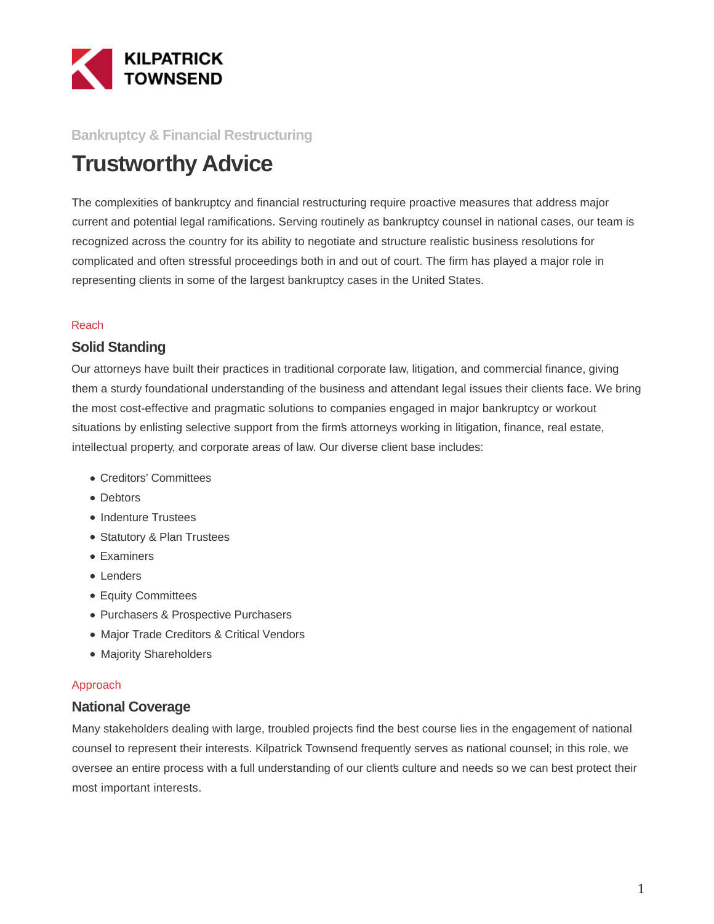

## **Bankruptcy & Financial Restructuring**

# **Trustworthy Advice**

The complexities of bankruptcy and financial restructuring require proactive measures that address major current and potential legal ramifications. Serving routinely as bankruptcy counsel in national cases, our team is recognized across the country for its ability to negotiate and structure realistic business resolutions for complicated and often stressful proceedings both in and out of court. The firm has played a major role in representing clients in some of the largest bankruptcy cases in the United States.

#### Reach

### **Solid Standing**

Our attorneys have built their practices in traditional corporate law, litigation, and commercial finance, giving them a sturdy foundational understanding of the business and attendant legal issues their clients face. We bring the most cost-effective and pragmatic solutions to companies engaged in major bankruptcy or workout situations by enlisting selective support from the firm's attorneys working in litigation, finance, real estate, intellectual property, and corporate areas of law. Our diverse client base includes:

- Creditors' Committees
- Debtors
- Indenture Trustees
- Statutory & Plan Trustees
- Examiners
- Lenders
- Equity Committees
- Purchasers & Prospective Purchasers
- Major Trade Creditors & Critical Vendors
- Majority Shareholders

#### Approach

## **National Coverage**

Many stakeholders dealing with large, troubled projects find the best course lies in the engagement of national counsel to represent their interests. Kilpatrick Townsend frequently serves as national counsel; in this role, we oversee an entire process with a full understanding of our client's culture and needs so we can best protect their most important interests.